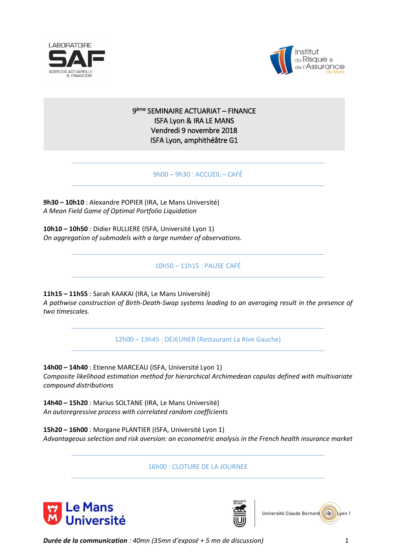



## 9 ème SEMINAIRE ACTUARIAT – FINANCE ISFA Lyon & IRA LE MANS Vendredi 9 novembre 2018 ISFA Lyon, amphithéâtre G1

9h00 – 9h30 : ACCUEIL – CAFÉ

**9h30 – 10h10** : Alexandre POPIER (IRA, Le Mans Université) *A Mean Field Game of Optimal Portfolio Liquidation*

**10h10 – 10h50** : Didier RULLIERE (ISFA, Université Lyon 1) *On aggregation of submodels with a large number of observations.*

10h50 – 11h15 : PAUSE CAFÉ

**11h15 – 11h55** : Sarah KAAKAI (IRA, Le Mans Université) *A pathwise construction of Birth-Death-Swap systems leading to an averaging result in the presence of two timescales.*

12h00 – 13h45 : DÉJEUNER (Restaurant La Rive Gauche)

**14h00 – 14h40** : Etienne MARCEAU (ISFA, Université Lyon 1) *Composite likelihood estimation method for hierarchical Archimedean copulas defined with multivariate compound distributions*

**14h40 – 15h20** : Marius SOLTANE (IRA, Le Mans Université) *An autoregressive process with correlated random coefficients*

**15h20 – 16h00** : Morgane PLANTIER (ISFA, Université Lyon 1) *Advantageous selection and risk aversion: an econometric analysis in the French health insurance market*

16h00 : CLOTURE DE LA JOURNEE







*Durée de la communication : 40mn (35mn d'exposé + 5 mn de discussion)* 1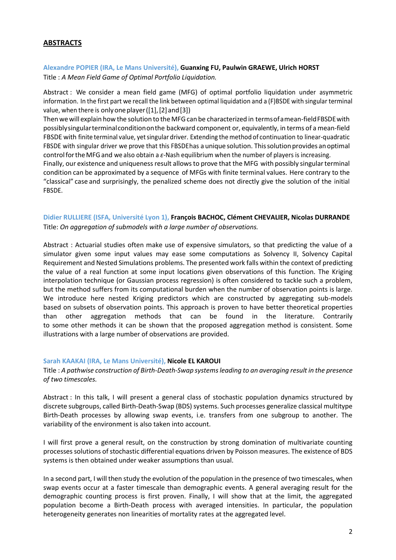## **ABSTRACTS**

## **Alexandre POPIER (IRA, Le Mans Université), Guanxing FU, Paulwin GRAEWE, Ulrich HORST** Title : *A Mean Field Game of Optimal Portfolio Liquidation.*

Abstract : We consider a mean field game (MFG) of optimal portfolio liquidation under asymmetric information. In the first part we recall the link between optimal liquidation and a (F)BSDE with singular terminal value, when there is only one player ( $[1]$ ,  $[2]$  and  $[3]$ )

Then we will explain how the solution to the MFG can be characterized in terms of a mean-field FBSDE with possiblysingularterminalconditiononthe backward component or, equivalently, in terms of a mean-field FBSDE with finite terminal value, yet singular driver. Extending the method of continuation to linear-quadratic FBSDE with singular driver we prove that this FBSDE has a unique solution. This solution provides an optimal controlfortheMFGand we also obtain a *ε*-Nash equilibrium when the number of players is increasing.

Finally, our existence and uniqueness result allows to prove that the MFG with possibly singular terminal condition can be approximated by a sequence of MFGs with finite terminal values. Here contrary to the "classical" case and surprisingly, the penalized scheme does not directly give the solution of the initial FBSDE.

## **Didier RULLIERE (ISFA, Université Lyon 1), François BACHOC, Clément CHEVALIER, Nicolas DURRANDE** Title: *On aggregation of submodels with a large number of observations.*

Abstract : Actuarial studies often make use of expensive simulators, so that predicting the value of a simulator given some input values may ease some computations as Solvency II, Solvency Capital Requirement and Nested Simulations problems. The presented work falls within the context of predicting the value of a real function at some input locations given observations of this function. The Kriging interpolation technique (or Gaussian process regression) is often considered to tackle such a problem, but the method suffers from its computational burden when the number of observation points is large. We introduce here nested Kriging predictors which are constructed by aggregating sub-models based on subsets of observation points. This approach is proven to have better theoretical properties than other aggregation methods that can be found in the literature. Contrarily to some other methods it can be shown that the proposed aggregation method is consistent. Some illustrations with a large number of observations are provided.

#### **Sarah KAAKAI (IRA, Le Mans Université), Nicole EL KAROUI**

Title : *A pathwise construction of Birth-Death-Swap systems leading to an averaging result in the presence of two timescales.*

Abstract : In this talk, I will present a general class of stochastic population dynamics structured by discrete subgroups, called Birth-Death-Swap (BDS) systems. Such processes generalize classical multitype Birth-Death processes by allowing swap events, i.e. transfers from one subgroup to another. The variability of the environment is also taken into account.

I will first prove a general result, on the construction by strong domination of multivariate counting processes solutions of stochastic differential equations driven by Poisson measures. The existence of BDS systems is then obtained under weaker assumptions than usual.

In a second part, I will then study the evolution of the population in the presence of two timescales, when swap events occur at a faster timescale than demographic events. A general averaging result for the demographic counting process is first proven. Finally, I will show that at the limit, the aggregated population become a Birth-Death process with averaged intensities. In particular, the population heterogeneity generates non linearities of mortality rates at the aggregated level.